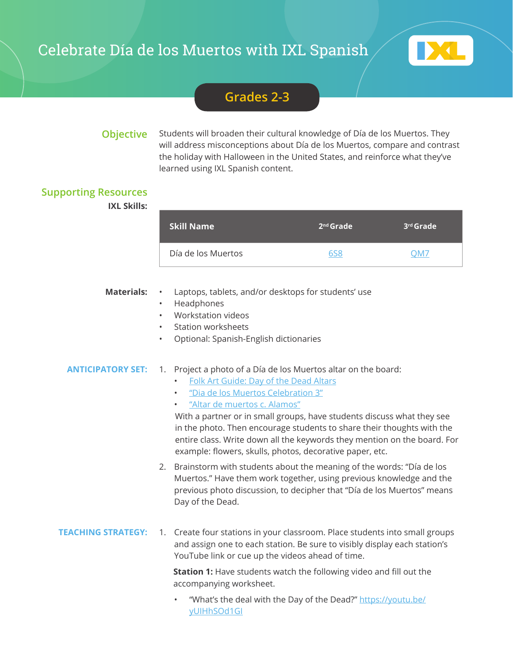# Celebrate Día de los Muertos with IXL Spanish



## **Grades 2-3**

**Objective** Students will broaden their cultural knowledge of Día de los Muertos. They will address misconceptions about Día de los Muertos, compare and contrast the holiday with Halloween in the United States, and reinforce what they've learned using IXL Spanish content.

### **Supporting Resources**

**IXL Skills:**

| <b>Skill Name</b>  | $2nd$ Grade | l 3 <sup>rd</sup> Grade <sup>1</sup> |
|--------------------|-------------|--------------------------------------|
| Día de los Muertos | 658         | OM7                                  |

- **Materials:** Laptops, tablets, and/or desktops for students' use
	- Headphones
	- Workstation videos
	- Station worksheets
	- Optional: Spanish-English dictionaries

### **ANTICIPATORY SET:** 1. Project a photo of a Día de los Muertos altar on the board:

- [Folk Art Guide: Day of the Dead Altars](https://www.mexican-folk-art-guide.com/day-of-the-dead-altars.html#.XXrZByhKhaQ)
- ["Dia de los Muertos Celebration 3"](https://www.flickr.com/photos/posixeleni/282689737/)
- ["Altar de muertos c. Alamos"](https://ccsearch.creativecommons.org/photos/91e0d6fa-466e-4176-a982-dcc63aa4f349)

With a partner or in small groups, have students discuss what they see in the photo. Then encourage students to share their thoughts with the entire class. Write down all the keywords they mention on the board. For example: flowers, skulls, photos, decorative paper, etc.

- 2. Brainstorm with students about the meaning of the words: "Día de los Muertos." Have them work together, using previous knowledge and the previous photo discussion, to decipher that "Día de los Muertos" means Day of the Dead.
- **TEACHING STRATEGY:** 1. Create four stations in your classroom. Place students into small groups and assign one to each station. Be sure to visibly display each station's YouTube link or cue up the videos ahead of time.

**Station 1:** Have students watch the following video and fill out the accompanying worksheet.

"What's the deal with the Day of the Dead?" [https://youtu.be/](https://youtu.be/yUIHhSOd1GI) [yUIHhSOd1GI](https://youtu.be/yUIHhSOd1GI)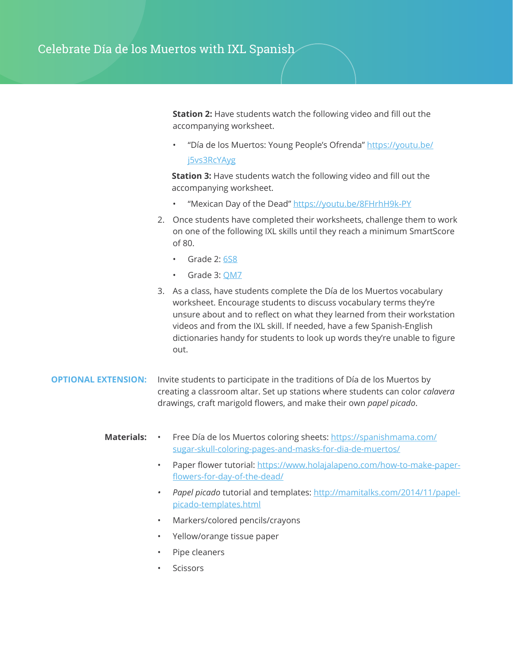**Station 2:** Have students watch the following video and fill out the accompanying worksheet.

• "Día de los Muertos: Young People's Ofrenda" [https://youtu.be/](https://youtu.be/j5vs3RcYAyg) [j5vs3RcYAyg](https://youtu.be/j5vs3RcYAyg)

**Station 3:** Have students watch the following video and fill out the accompanying worksheet.

- "Mexican Day of the Dead"<https://youtu.be/8FHrhH9k-PY>
- 2. Once students have completed their worksheets, challenge them to work on one of the following IXL skills until they reach a minimum SmartScore of 80.
	- Grade 2: [6S8](https://www.ixl.com/social-studies/grade-2/dia-de-los-muertos)
	- Grade 3: [QM7](https://www.ixl.com/social-studies/grade-3/dia-de-los-muertos)
- 3. As a class, have students complete the Día de los Muertos vocabulary worksheet. Encourage students to discuss vocabulary terms they're unsure about and to reflect on what they learned from their workstation videos and from the IXL skill. If needed, have a few Spanish-English dictionaries handy for students to look up words they're unable to figure out.

#### **OPTIONAL EXTENSION:** Invite students to participate in the traditions of Día de los Muertos by creating a classroom altar. Set up stations where students can color *calavera* drawings, craft marigold flowers, and make their own *papel picado*.

- **Materials: •** Free Día de los Muertos coloring sheets: [https://spanishmama.com/](https://spanishmama.com/sugar-skull-coloring-pages-and-masks-for-dia-de-muertos/) [sugar-skull-coloring-pages-and-masks-for-dia-de-muertos/](https://spanishmama.com/sugar-skull-coloring-pages-and-masks-for-dia-de-muertos/)
	- Paper flower tutorial: [https://www.holajalapeno.com/how-to-make-paper](https://www.holajalapeno.com/how-to-make-paper-flowers-for-day-of-the-dead/)[flowers-for-day-of-the-dead/](https://www.holajalapeno.com/how-to-make-paper-flowers-for-day-of-the-dead/)
	- *• Papel picado* tutorial and templates: [http://mamitalks.com/2014/11/papel](http://mamitalks.com/2014/11/papel-picado-templates.html)[picado-templates.html](http://mamitalks.com/2014/11/papel-picado-templates.html)
	- Markers/colored pencils/crayons
	- Yellow/orange tissue paper
	- Pipe cleaners
	- **Scissors**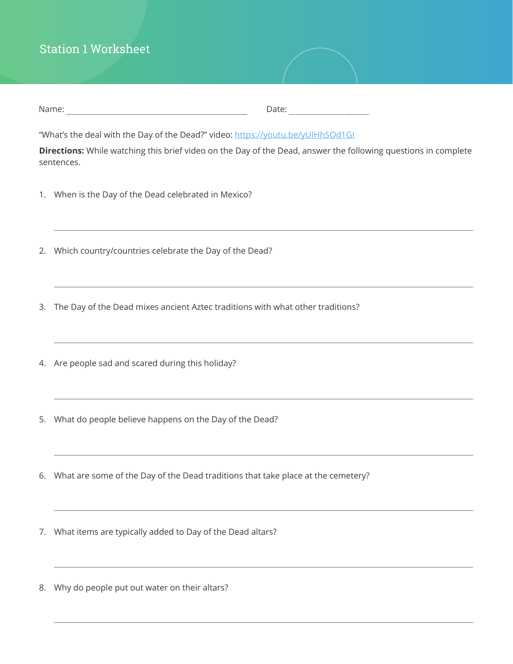## Station 1 Worksheet

| Name: | Jate: |
|-------|-------|
|       |       |

"What's the deal with the Day of the Dead?" video:<https://youtu.be/yUIHhSOd1GI>

**Directions:** While watching this brief video on the Day of the Dead, answer the following questions in complete sentences.

- 1. When is the Day of the Dead celebrated in Mexico?
- 2. Which country/countries celebrate the Day of the Dead?
- 3. The Day of the Dead mixes ancient Aztec traditions with what other traditions?
- 4. Are people sad and scared during this holiday?
- 5. What do people believe happens on the Day of the Dead?
- 6. What are some of the Day of the Dead traditions that take place at the cemetery?
- 7. What items are typically added to Day of the Dead altars?
- 8. Why do people put out water on their altars?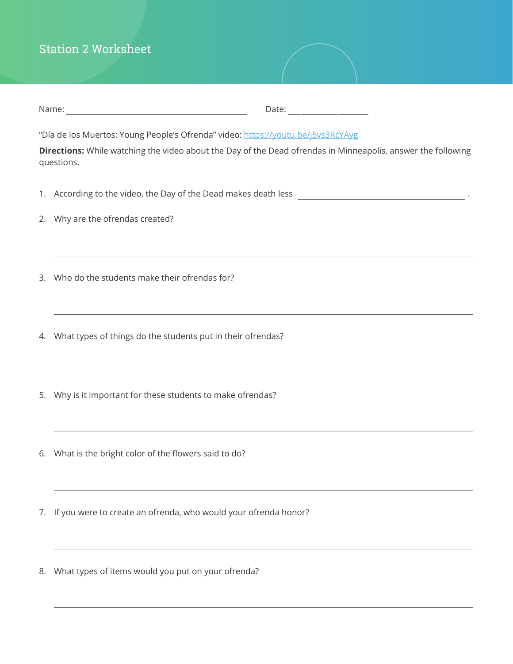# Station 2 Worksheet

|                                                                                                                                                                                                                | Date:                                                                                                                                              |  |  |  |
|----------------------------------------------------------------------------------------------------------------------------------------------------------------------------------------------------------------|----------------------------------------------------------------------------------------------------------------------------------------------------|--|--|--|
| "Día de los Muertos: Young People's Ofrenda" video: https://youtu.be/j5vs3RcYAyg<br>Directions: While watching the video about the Day of the Dead ofrendas in Minneapolis, answer the following<br>questions. |                                                                                                                                                    |  |  |  |
|                                                                                                                                                                                                                |                                                                                                                                                    |  |  |  |
|                                                                                                                                                                                                                | 2. Why are the ofrendas created?                                                                                                                   |  |  |  |
|                                                                                                                                                                                                                | 3. Who do the students make their ofrendas for?                                                                                                    |  |  |  |
|                                                                                                                                                                                                                | 4. What types of things do the students put in their ofrendas?<br>,我们也不能在这里的时候,我们也不能会在这里,我们也不能会在这里的时候,我们也不能会在这里的时候,我们也不能会在这里的时候,我们也不能会在这里的时候,我们也不能 |  |  |  |
|                                                                                                                                                                                                                | 5. Why is it important for these students to make ofrendas?                                                                                        |  |  |  |
|                                                                                                                                                                                                                | 6. What is the bright color of the flowers said to do?                                                                                             |  |  |  |
| 7.                                                                                                                                                                                                             | If you were to create an ofrenda, who would your ofrenda honor?                                                                                    |  |  |  |
|                                                                                                                                                                                                                |                                                                                                                                                    |  |  |  |

8. What types of items would you put on your ofrenda?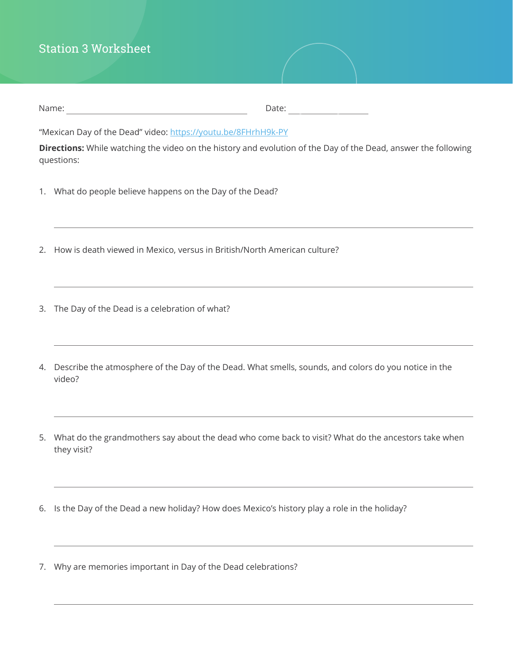## Station 3 Worksheet

| Name: | Date: |
|-------|-------|
|-------|-------|

"Mexican Day of the Dead" video:<https://youtu.be/8FHrhH9k-PY>

**Directions:** While watching the video on the history and evolution of the Day of the Dead, answer the following questions:

- 1. What do people believe happens on the Day of the Dead?
- 2. How is death viewed in Mexico, versus in British/North American culture?
- 3. The Day of the Dead is a celebration of what?
- 4. Describe the atmosphere of the Day of the Dead. What smells, sounds, and colors do you notice in the video?
- 5. What do the grandmothers say about the dead who come back to visit? What do the ancestors take when they visit?
- 6. Is the Day of the Dead a new holiday? How does Mexico's history play a role in the holiday?
- 7. Why are memories important in Day of the Dead celebrations?